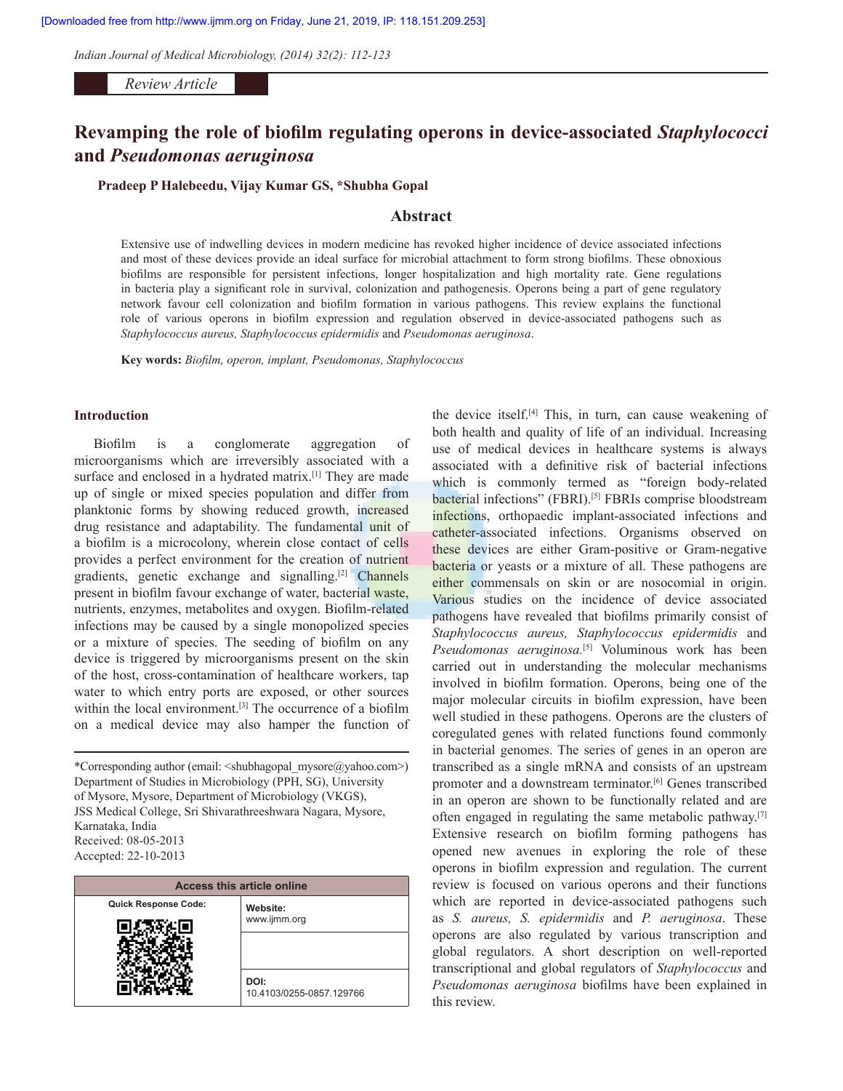*Indian Journal of Medical Microbiology, (2014) 32(2): 112-123* 1

*Review Article*

# **Revamping the role of biofilm regulating operons in device‑associated** *Staphylococci* **and** *Pseudomonas aeruginosa*

**Pradeep P Halebeedu, Vijay Kumar GS, \*Shubha Gopal**

## **Abstract**

Extensive use of indwelling devices in modern medicine has revoked higher incidence of device associated infections and most of these devices provide an ideal surface for microbial attachment to form strong biofilms. These obnoxious biofilms are responsible for persistent infections, longer hospitalization and high mortality rate. Gene regulations in bacteria play a significant role in survival, colonization and pathogenesis. Operons being a part of gene regulatory network favour cell colonization and biofilm formation in various pathogens. This review explains the functional role of various operons in biofilm expression and regulation observed in device‑associated pathogens such as *Staphylococcus aureus, Staphylococcus epidermidis* and *Pseudomonas aeruginosa*.

**Key words:** *Biofilm, operon, implant, Pseudomonas, Staphylococcus*

## **Introduction**

Biofilm is a conglomerate aggregation of microorganisms which are irreversibly associated with a surface and enclosed in a hydrated matrix.<sup>[1]</sup> They are made up of single or mixed species population and differ from planktonic forms by showing reduced growth, increased drug resistance and adaptability. The fundamental unit of a biofilm is a microcolony, wherein close contact of cells provides a perfect environment for the creation of nutrient gradients, genetic exchange and signalling.[2] Channels present in biofilm favour exchange of water, bacterial waste, nutrients, enzymes, metabolites and oxygen. Biofilm‑related infections may be caused by a single monopolized species or a mixture of species. The seeding of biofilm on any device is triggered by microorganisms present on the skin of the host, cross‑contamination of healthcare workers, tap water to which entry ports are exposed, or other sources within the local environment.<sup>[3]</sup> The occurrence of a biofilm on a medical device may also hamper the function of

\*Corresponding author (email: <shubhagopal\_mysore@yahoo.com>) Department of Studies in Microbiology (PPH, SG), University of Mysore, Mysore, Department of Microbiology (VKGS), JSS Medical College, Sri Shivarathreeshwara Nagara, Mysore, Karnataka, India Received: 08‑05‑2013 Accepted: 22‑10‑2013

| <b>Access this article online</b> |                                  |  |
|-----------------------------------|----------------------------------|--|
| <b>Quick Response Code:</b>       | Website:                         |  |
|                                   | www.ijmm.org                     |  |
|                                   | DOI:<br>10.4103/0255-0857.129766 |  |

the device itself.[4] This, in turn, can cause weakening of both health and quality of life of an individual. Increasing use of medical devices in healthcare systems is always associated with a definitive risk of bacterial infections which is commonly termed as "foreign body-related bacterial infections" (FBRI).<sup>[5]</sup> FBRIs comprise bloodstream infections, orthopaedic implant-associated infections and catheter-associated infections. Organisms observed on these devices are either Gram‑positive or Gram‑negative bacteria or yeasts or a mixture of all. These pathogens are either commensals on skin or are nosocomial in origin. Various studies on the incidence of device associated pathogens have revealed that biofilms primarily consist of *Staphylococcus aureus, Staphylococcus epidermidis* and *Pseudomonas aeruginosa.*[5] Voluminous work has been carried out in understanding the molecular mechanisms involved in biofilm formation. Operons, being one of the major molecular circuits in biofilm expression, have been well studied in these pathogens. Operons are the clusters of coregulated genes with related functions found commonly in bacterial genomes. The series of genes in an operon are transcribed as a single mRNA and consists of an upstream promoter and a downstream terminator.<sup>[6]</sup> Genes transcribed in an operon are shown to be functionally related and are often engaged in regulating the same metabolic pathway.[7] Extensive research on biofilm forming pathogens has opened new avenues in exploring the role of these operons in biofilm expression and regulation. The current review is focused on various operons and their functions which are reported in device-associated pathogens such as *S. aureus, S. epidermidis* and *P. aeruginosa*. These operons are also regulated by various transcription and global regulators. A short description on well-reported transcriptional and global regulators of *Staphylococcus* and *Pseudomonas aeruginosa* biofilms have been explained in this review.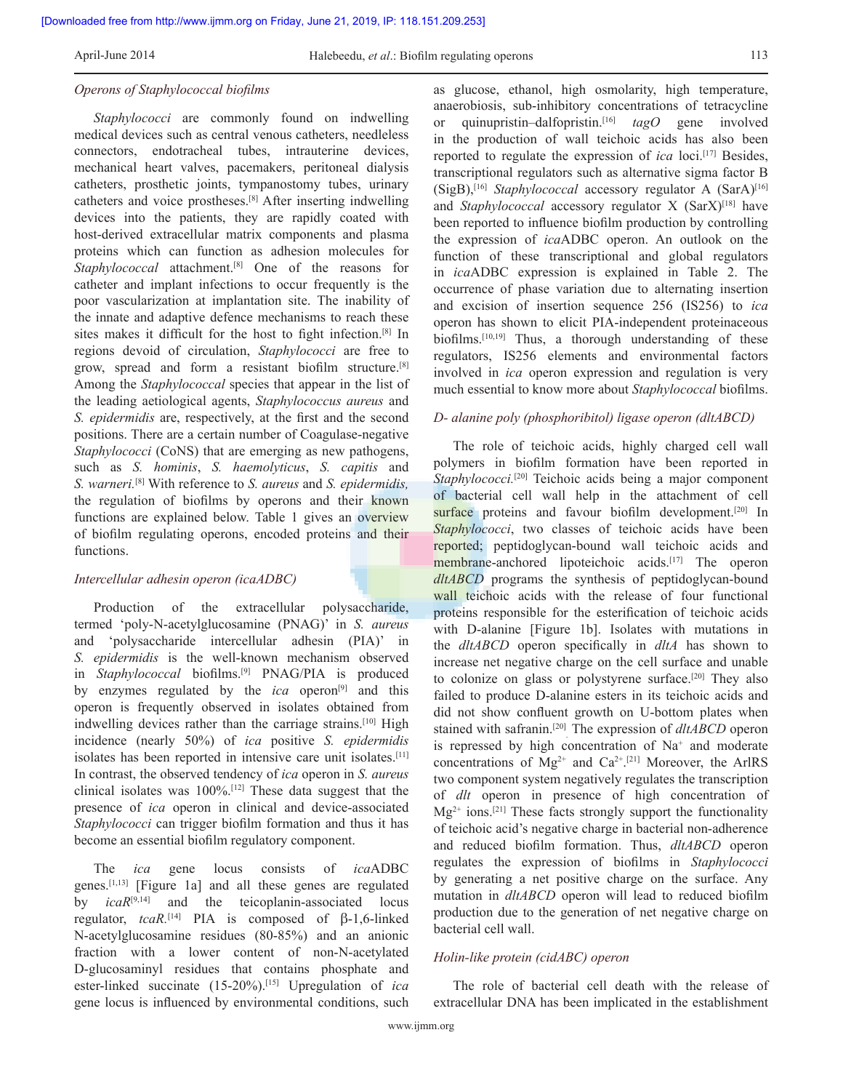#### *Operons of Staphylococcal biofilms*

*Staphylococci* are commonly found on indwelling medical devices such as central venous catheters, needleless connectors, endotracheal tubes, intrauterine devices, mechanical heart valves, pacemakers, peritoneal dialysis catheters, prosthetic joints, tympanostomy tubes, urinary catheters and voice prostheses.[8] After inserting indwelling devices into the patients, they are rapidly coated with host-derived extracellular matrix components and plasma proteins which can function as adhesion molecules for *Staphylococcal* attachment.[8] One of the reasons for catheter and implant infections to occur frequently is the poor vascularization at implantation site. The inability of the innate and adaptive defence mechanisms to reach these sites makes it difficult for the host to fight infection.<sup>[8]</sup> In regions devoid of circulation, *Staphylococci* are free to grow, spread and form a resistant biofilm structure.[8] Among the *Staphylococcal* species that appear in the list of the leading aetiological agents, *Staphylococcus aureus* and *S. epidermidis* are, respectively, at the first and the second positions. There are a certain number of Coagulase-negative *Staphylococci* (CoNS) that are emerging as new pathogens, such as *S. hominis*, *S. haemolyticus*, *S. capitis* and *S. warneri.*[8] With reference to *S. aureus* and *S. epidermidis,*  the regulation of biofilms by operons and their known functions are explained below. Table 1 gives an overview of biofilm regulating operons, encoded proteins and their functions.

## *Intercellular adhesin operon (icaADBC)*

Production of the extracellular polysaccharide, termed 'poly‑N‑acetylglucosamine (PNAG)' in *S. aureus* and 'polysaccharide intercellular adhesin (PIA)' in *S. epidermidis* is the well‑known mechanism observed in *Staphylococcal* biofilms.[9] PNAG/PIA is produced by enzymes regulated by the *ica* operon<sup>[9]</sup> and this operon is frequently observed in isolates obtained from indwelling devices rather than the carriage strains.<sup>[10]</sup> High incidence (nearly 50%) of *ica* positive *S. epidermidis* isolates has been reported in intensive care unit isolates.[11] In contrast, the observed tendency of *ica* operon in *S. aureus* clinical isolates was 100%.[12] These data suggest that the presence of *ica* operon in clinical and device-associated *Staphylococci* can trigger biofilm formation and thus it has become an essential biofilm regulatory component.

The *ica* gene locus consists of *ica*ADBC genes.[1,13] [Figure 1a] and all these genes are regulated by *icaR*<sup>[9,14]</sup> and the teicoplanin-associated locus regulator,  $tcaR$ <sup>[14]</sup> PIA is composed of  $\beta$ -1,6-linked N‑acetylglucosamine residues (80‑85%) and an anionic fraction with a lower content of non‑N‑acetylated D‑glucosaminyl residues that contains phosphate and ester-linked succinate (15-20%).<sup>[15]</sup> Upregulation of *ica* gene locus is influenced by environmental conditions, such

as glucose, ethanol, high osmolarity, high temperature, anaerobiosis, sub-inhibitory concentrations of tetracycline or quinupristin–dalfopristin.[16] *tagO* gene involved in the production of wall teichoic acids has also been reported to regulate the expression of *ica* loci.[17] Besides, transcriptional regulators such as alternative sigma factor B (SigB),[16] *Staphylococcal* accessory regulator A (SarA)[16] and *Staphylococcal* accessory regulator X (SarX)<sup>[18]</sup> have been reported to influence biofilm production by controlling the expression of *ica*ADBC operon. An outlook on the function of these transcriptional and global regulators in *ica*ADBC expression is explained in Table 2. The occurrence of phase variation due to alternating insertion and excision of insertion sequence 256 (IS256) to *ica*  operon has shown to elicit PIA‑independent proteinaceous biofilms.<sup>[10,19]</sup> Thus, a thorough understanding of these regulators, IS256 elements and environmental factors involved in *ica* operon expression and regulation is very much essential to know more about *Staphylococcal* biofilms.

#### *D- alanine poly (phosphoribitol) ligase operon (dltABCD)*

The role of teichoic acids, highly charged cell wall polymers in biofilm formation have been reported in *Staphylococci.*[20] Teichoic acids being a major component of bacterial cell wall help in the attachment of cell surface proteins and favour biofilm development.<sup>[20]</sup> In *Staphylococci*, two classes of teichoic acids have been reported; peptidoglycan‑bound wall teichoic acids and membrane-anchored lipoteichoic acids.<sup>[17]</sup> The operon *dltABCD* programs the synthesis of peptidoglycan-bound wall teichoic acids with the release of four functional proteins responsible for the esterification of teichoic acids with D-alanine [Figure 1b]. Isolates with mutations in the *dltABCD* operon specifically in *dltA* has shown to increase net negative charge on the cell surface and unable to colonize on glass or polystyrene surface.<sup>[20]</sup> They also failed to produce D-alanine esters in its teichoic acids and did not show confluent growth on U-bottom plates when stained with safranin.[20] . The expression of *dltABCD* operon is repressed by high concentration of  $Na<sup>+</sup>$  and moderate concentrations of  $Mg^{2+}$  and  $Ca^{2+}.[21]$  Moreover, the ArlRS two component system negatively regulates the transcription of *dlt* operon in presence of high concentration of  $Mg^{2+}$  ions.<sup>[21]</sup> These facts strongly support the functionality of teichoic acid's negative charge in bacterial non‑adherence and reduced biofilm formation. Thus, *dltABCD* operon regulates the expression of biofilms in *Staphylococci*  by generating a net positive charge on the surface. Any mutation in *dltABCD* operon will lead to reduced biofilm production due to the generation of net negative charge on bacterial cell wall.

#### *Holin-like protein (cidABC) operon*

The role of bacterial cell death with the release of extracellular DNA has been implicated in the establishment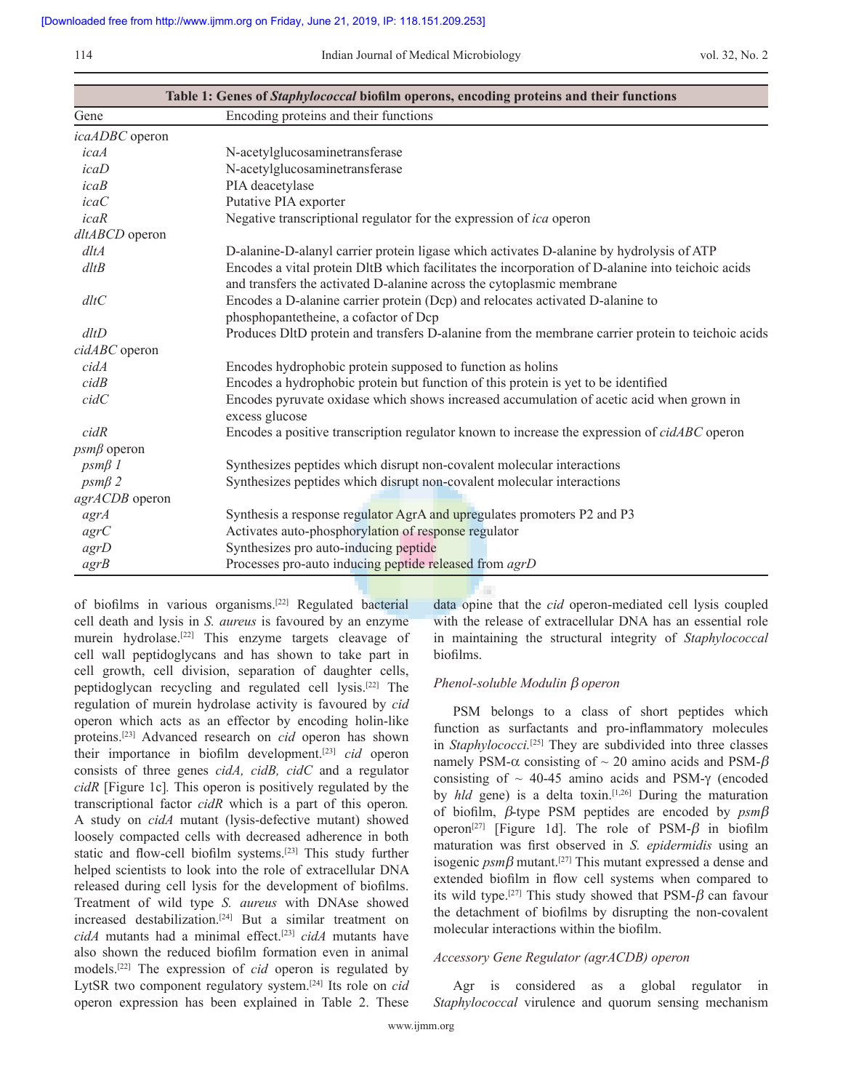114 Indian Journal of Medical Microbiology vol. 32, No. 2

| Table 1: Genes of Staphylococcal biofilm operons, encoding proteins and their functions |                                                                                                                                                                            |  |
|-----------------------------------------------------------------------------------------|----------------------------------------------------------------------------------------------------------------------------------------------------------------------------|--|
| Gene                                                                                    | Encoding proteins and their functions                                                                                                                                      |  |
| icaADBC operon                                                                          |                                                                                                                                                                            |  |
| icaA                                                                                    | N-acetylglucosaminetransferase                                                                                                                                             |  |
| icab                                                                                    | N-acetylglucosaminetransferase                                                                                                                                             |  |
| icaB                                                                                    | PIA deacetylase                                                                                                                                                            |  |
| icaC                                                                                    | Putative PIA exporter                                                                                                                                                      |  |
| icaR                                                                                    | Negative transcriptional regulator for the expression of ica operon                                                                                                        |  |
| dltABCD operon                                                                          |                                                                                                                                                                            |  |
| $d$ lt $A$                                                                              | D-alanine-D-alanyl carrier protein ligase which activates D-alanine by hydrolysis of ATP                                                                                   |  |
| $d$ lt $B$                                                                              | Encodes a vital protein DltB which facilitates the incorporation of D-alanine into teichoic acids<br>and transfers the activated D-alanine across the cytoplasmic membrane |  |
| $d$ lt $C$                                                                              | Encodes a D-alanine carrier protein (Dcp) and relocates activated D-alanine to<br>phosphopantetheine, a cofactor of Dcp                                                    |  |
| dltD                                                                                    | Produces DltD protein and transfers D-alanine from the membrane carrier protein to teichoic acids                                                                          |  |
| cidABC operon                                                                           |                                                                                                                                                                            |  |
| cidA                                                                                    | Encodes hydrophobic protein supposed to function as holins                                                                                                                 |  |
| cidB                                                                                    | Encodes a hydrophobic protein but function of this protein is yet to be identified                                                                                         |  |
| cidC                                                                                    | Encodes pyruvate oxidase which shows increased accumulation of acetic acid when grown in<br>excess glucose                                                                 |  |
| cidR                                                                                    | Encodes a positive transcription regulator known to increase the expression of <i>cidABC</i> operon                                                                        |  |
| $psm\beta$ operon                                                                       |                                                                                                                                                                            |  |
| $p s m \beta 1$                                                                         | Synthesizes peptides which disrupt non-covalent molecular interactions                                                                                                     |  |
| $p s m \beta 2$                                                                         | Synthesizes peptides which disrupt non-covalent molecular interactions                                                                                                     |  |
| agrACDB operon                                                                          |                                                                                                                                                                            |  |
| agrA                                                                                    | Synthesis a response regulator AgrA and upregulates promoters P2 and P3                                                                                                    |  |
| agrC                                                                                    | Activates auto-phosphorylation of response regulator                                                                                                                       |  |
| agrD                                                                                    | Synthesizes pro auto-inducing peptide                                                                                                                                      |  |
| agrB                                                                                    | Processes pro-auto inducing peptide released from agrD                                                                                                                     |  |

of biofilms in various organisms.[22] Regulated bacterial cell death and lysis in *S. aureus* is favoured by an enzyme murein hydrolase.[22] This enzyme targets cleavage of cell wall peptidoglycans and has shown to take part in cell growth, cell division, separation of daughter cells, peptidoglycan recycling and regulated cell lysis.[22] The regulation of murein hydrolase activity is favoured by *cid* operon which acts as an effector by encoding holin-like proteins.[23] Advanced research on *cid* operon has shown their importance in biofilm development.[23] *cid* operon consists of three genes *cidA, cidB, cidC* and a regulator *cidR* [Figure 1c]*.* This operon is positively regulated by the transcriptional factor *cidR* which is a part of this operon*.*  A study on *cidA* mutant (lysis‑defective mutant) showed loosely compacted cells with decreased adherence in both static and flow-cell biofilm systems.<sup>[23]</sup> This study further helped scientists to look into the role of extracellular DNA released during cell lysis for the development of biofilms. Treatment of wild type *S. aureus* with DNAse showed increased destabilization.[24] But a similar treatment on *cidA* mutants had a minimal effect.[23] *cidA* mutants have also shown the reduced biofilm formation even in animal models.[22] The expression of *cid* operon is regulated by LytSR two component regulatory system.[24] Its role on *cid* operon expression has been explained in Table 2. These data opine that the *cid* operon-mediated cell lysis coupled with the release of extracellular DNA has an essential role in maintaining the structural integrity of *Staphylococcal* biofilms.

## *Phenol-soluble Modulin b operon*

У.

PSM belongs to a class of short peptides which function as surfactants and pro-inflammatory molecules in *Staphylococci.*[25] They are subdivided into three classes namely PSM- $\alpha$  consisting of  $\sim$  20 amino acids and PSM- $\beta$ consisting of  $\sim$  40-45 amino acids and PSM- $\gamma$  (encoded by *hld* gene) is a delta toxin.<sup>[1,26]</sup> During the maturation of biofilm, *b*‑type PSM peptides are encoded by *psmb* operon<sup>[27]</sup> [Figure 1d]. The role of PSM- $\beta$  in biofilm maturation was first observed in *S. epidermidis* using an isogenic  $p s m \beta$  mutant.<sup>[27]</sup> This mutant expressed a dense and extended biofilm in flow cell systems when compared to its wild type.<sup>[27]</sup> This study showed that  $PSM-\beta$  can favour the detachment of biofilms by disrupting the non‑covalent molecular interactions within the biofilm.

## *Accessory Gene Regulator (agrACDB) operon*

Agr is considered as a global regulator in *Staphylococcal* virulence and quorum sensing mechanism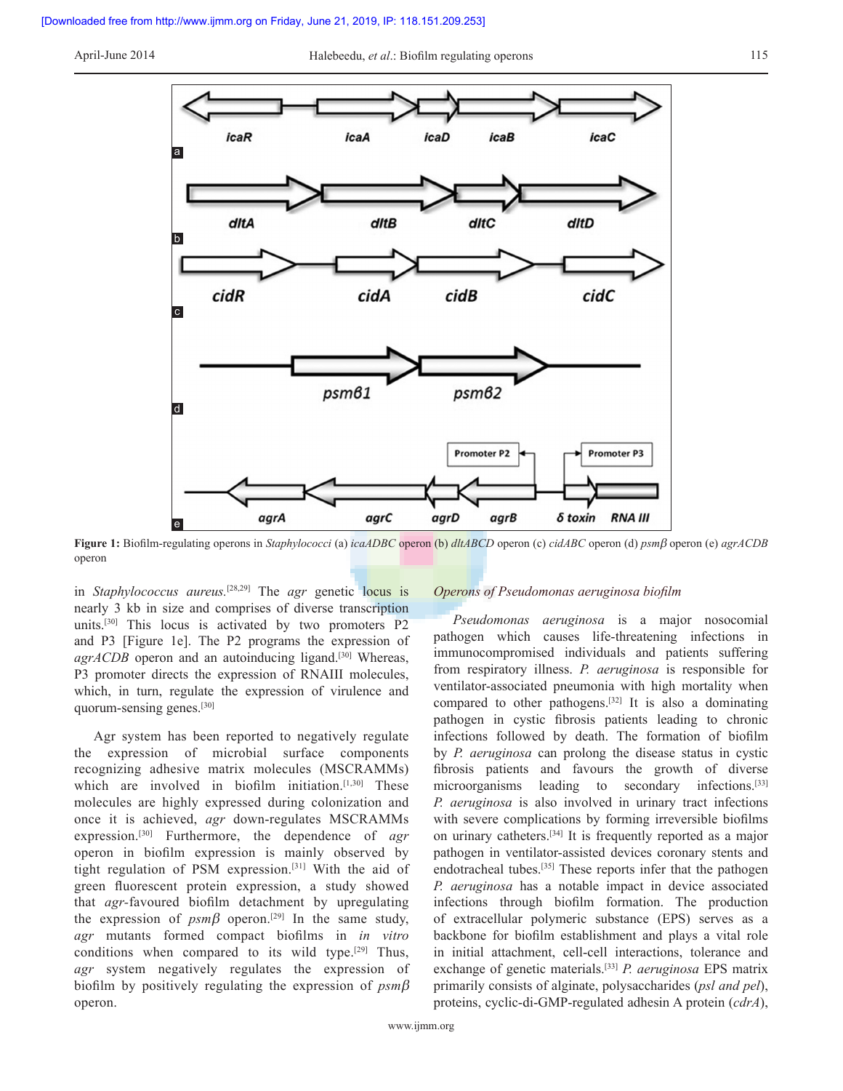

**Figure 1:** Biofilm‑regulating operons in *Staphylococci* (a) *icaADBC* operon (b) *dltABCD* operon (c) *cidABC* operon (d) *psmb* operon (e) *agrACDB* operon

in *Staphylococcus aureus.*[28,29] The *agr* genetic locus is nearly 3 kb in size and comprises of diverse transcription units.<sup>[30]</sup> This locus is activated by two promoters  $P2$ and P3 [Figure 1e]. The P2 programs the expression of *agrACDB* operon and an autoinducing ligand.<sup>[30]</sup> Whereas, P3 promoter directs the expression of RNAIII molecules, which, in turn, regulate the expression of virulence and quorum‑sensing genes.[30]

Agr system has been reported to negatively regulate the expression of microbial surface components recognizing adhesive matrix molecules (MSCRAMMs) which are involved in biofilm initiation. $[1,30]$  These molecules are highly expressed during colonization and once it is achieved, *agr* down‑regulates MSCRAMMs expression.[30] Furthermore, the dependence of *agr* operon in biofilm expression is mainly observed by tight regulation of PSM expression.[31] With the aid of green fluorescent protein expression, a study showed that *agr-*favoured biofilm detachment by upregulating the expression of  $psm\beta$  operon.<sup>[29]</sup> In the same study, *agr* mutants formed compact biofilms in *in vitro*  conditions when compared to its wild type.<sup>[29]</sup> Thus, *agr* system negatively regulates the expression of biofilm by positively regulating the expression of *psmb* operon.

#### *Operons of Pseudomonas aeruginosa biofilm*

*Pseudomonas aeruginosa* is a major nosocomial pathogen which causes life-threatening infections in immunocompromised individuals and patients suffering from respiratory illness. *P. aeruginosa* is responsible for ventilator‑associated pneumonia with high mortality when compared to other pathogens.[32] It is also a dominating pathogen in cystic fibrosis patients leading to chronic infections followed by death. The formation of biofilm by *P. aeruginosa* can prolong the disease status in cystic fibrosis patients and favours the growth of diverse microorganisms leading to secondary infections.<sup>[33]</sup> *P. aeruginosa* is also involved in urinary tract infections with severe complications by forming irreversible biofilms on urinary catheters.[34] It is frequently reported as a major pathogen in ventilator-assisted devices coronary stents and endotracheal tubes.[35] These reports infer that the pathogen *P. aeruginosa* has a notable impact in device associated infections through biofilm formation. The production of extracellular polymeric substance (EPS) serves as a backbone for biofilm establishment and plays a vital role in initial attachment, cell-cell interactions, tolerance and exchange of genetic materials.[33] *P. aeruginosa* EPS matrix primarily consists of alginate, polysaccharides (*psl and pel*), proteins, cyclic‑di‑GMP‑regulated adhesin A protein (*cdrA*),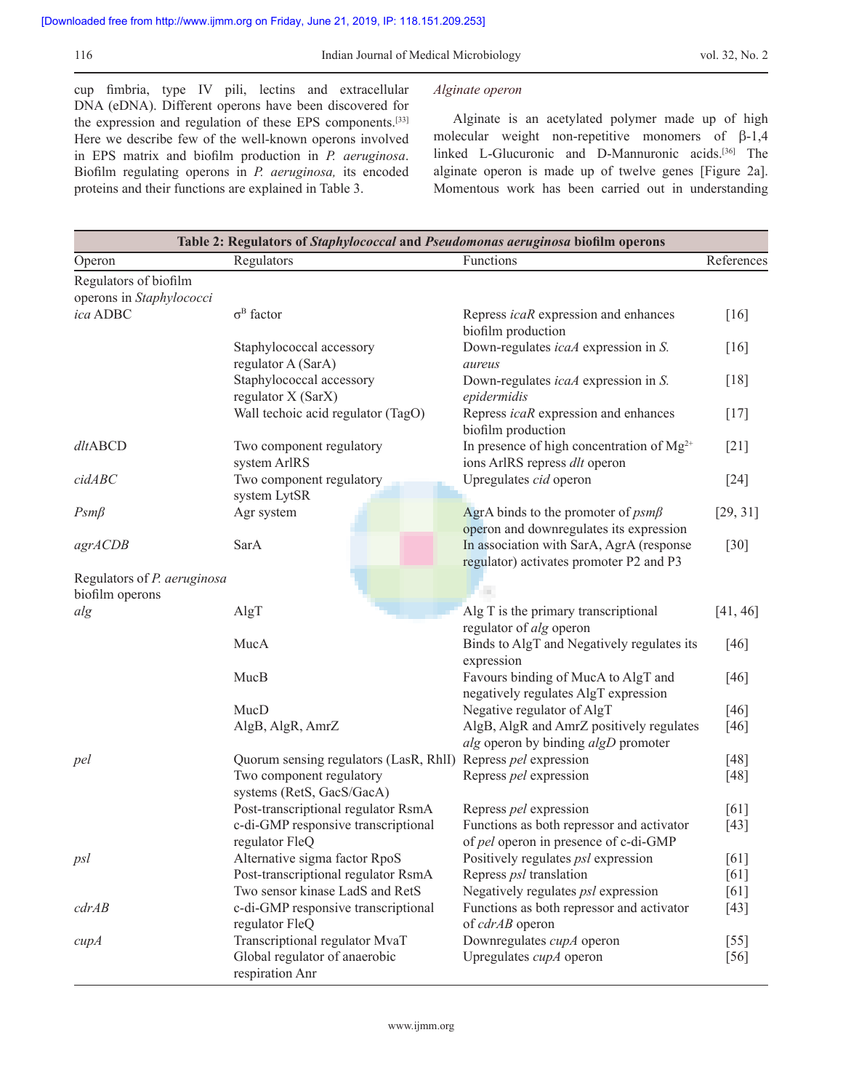cup fimbria, type IV pili, lectins and extracellular DNA (eDNA). Different operons have been discovered for the expression and regulation of these EPS components.<sup>[33]</sup> Here we describe few of the well-known operons involved in EPS matrix and biofilm production in *P. aeruginosa*. Biofilm regulating operons in *P. aeruginosa,* its encoded proteins and their functions are explained in Table 3.

## *Alginate operon*

Alginate is an acetylated polymer made up of high molecular weight non-repetitive monomers of  $\beta$ -1,4 linked L-Glucuronic and D-Mannuronic acids.<sup>[36]</sup> The alginate operon is made up of twelve genes [Figure 2a]. Momentous work has been carried out in understanding

|                                                |                                                               |  | Table 2: Regulators of Staphylococcal and Pseudomonas aeruginosa biofilm operons    |            |
|------------------------------------------------|---------------------------------------------------------------|--|-------------------------------------------------------------------------------------|------------|
| Operon                                         | Regulators                                                    |  | Functions                                                                           | References |
| Regulators of biofilm                          |                                                               |  |                                                                                     |            |
| operons in Staphylococci                       |                                                               |  |                                                                                     |            |
| ica ADBC                                       | $\sigma^B$ factor                                             |  | Repress <i>icaR</i> expression and enhances<br>biofilm production                   | [16]       |
|                                                | Staphylococcal accessory<br>regulator A (SarA)                |  | Down-regulates <i>icaA</i> expression in S.<br>aureus                               | $[16]$     |
|                                                | Staphylococcal accessory<br>regulator X (SarX)                |  | Down-regulates <i>icaA</i> expression in S.<br>epidermidis                          | $[18]$     |
|                                                | Wall techoic acid regulator (TagO)                            |  | Repress <i>icaR</i> expression and enhances<br>biofilm production                   | $[17]$     |
| $d$ <i>l</i> tABCD                             | Two component regulatory<br>system ArlRS                      |  | In presence of high concentration of $Mg^{2+}$<br>ions ArlRS repress dlt operon     | $[21]$     |
| cidABC                                         | Two component regulatory                                      |  | Upregulates cid operon                                                              | $[24]$     |
| $Psm\beta$                                     | system LytSR<br>Agr system                                    |  | AgrA binds to the promoter of $psm\beta$<br>operon and downregulates its expression | [29, 31]   |
| agrACDB                                        | SarA                                                          |  | In association with SarA, AgrA (response<br>regulator) activates promoter P2 and P3 | $[30]$     |
| Regulators of P. aeruginosa<br>biofilm operons |                                                               |  |                                                                                     |            |
| alg                                            | AlgT                                                          |  | Alg T is the primary transcriptional<br>regulator of alg operon                     | [41, 46]   |
|                                                | MucA                                                          |  | Binds to AlgT and Negatively regulates its<br>expression                            | $[46]$     |
|                                                | MucB                                                          |  | Favours binding of MucA to AlgT and<br>negatively regulates AlgT expression         | $[46]$     |
|                                                | MucD                                                          |  | Negative regulator of AlgT                                                          | $[46]$     |
|                                                | AlgB, AlgR, AmrZ                                              |  | AlgB, AlgR and AmrZ positively regulates<br>alg operon by binding algD promoter     | $[46]$     |
| pel                                            | Quorum sensing regulators (LasR, RhII) Repress pel expression |  |                                                                                     | $[48]$     |
|                                                | Two component regulatory<br>systems (RetS, GacS/GacA)         |  | Repress pel expression                                                              | $[48]$     |
|                                                | Post-transcriptional regulator RsmA                           |  | Repress pel expression                                                              | [61]       |
|                                                | c-di-GMP responsive transcriptional<br>regulator FleQ         |  | Functions as both repressor and activator<br>of pel operon in presence of c-di-GMP  | $[43]$     |
| psl                                            | Alternative sigma factor RpoS                                 |  | Positively regulates <i>psl</i> expression                                          | $[61]$     |
|                                                | Post-transcriptional regulator RsmA                           |  | Repress <i>psl</i> translation                                                      | [61]       |
|                                                | Two sensor kinase LadS and RetS                               |  | Negatively regulates psl expression                                                 | [61]       |
| cdrAB                                          | c-di-GMP responsive transcriptional<br>regulator FleQ         |  | Functions as both repressor and activator<br>of cdrAB operon                        | $[43]$     |
| cupA                                           | Transcriptional regulator MvaT                                |  | Downregulates <i>cupA</i> operon                                                    | $[55]$     |
|                                                | Global regulator of anaerobic<br>respiration Anr              |  | Upregulates <i>cupA</i> operon                                                      | [56]       |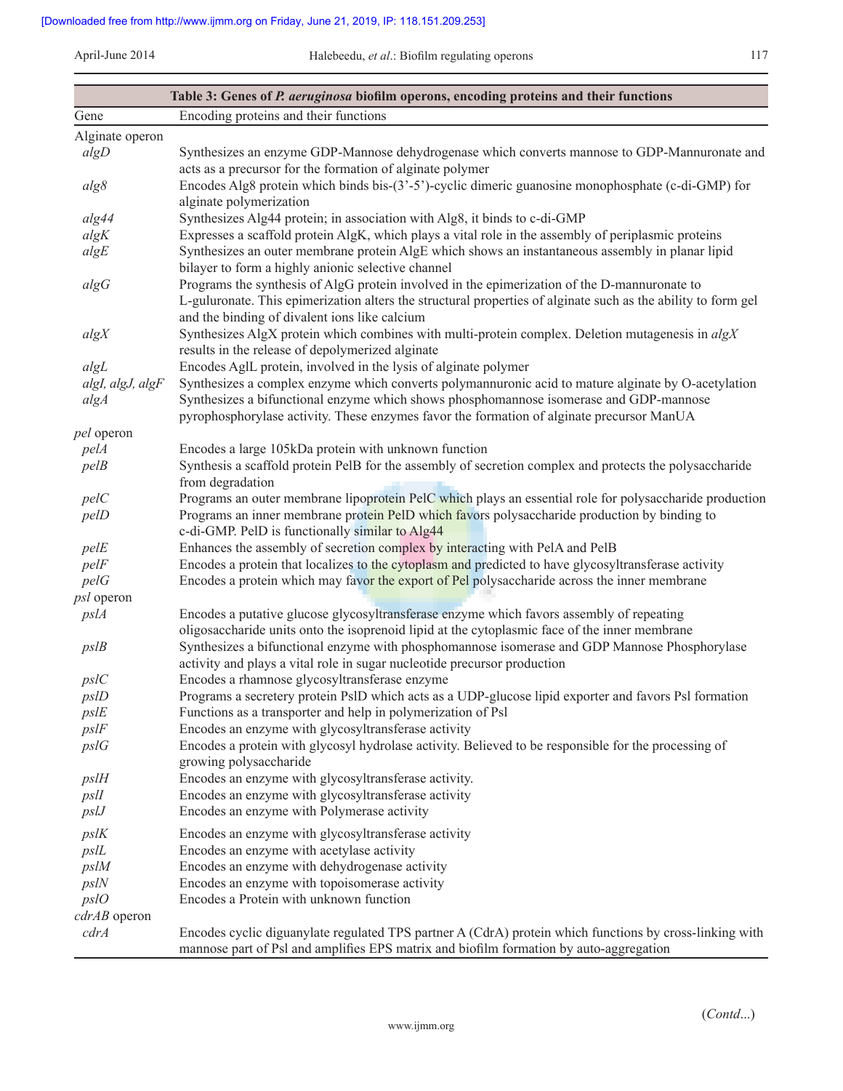|                                | Table 3: Genes of P. aeruginosa biofilm operons, encoding proteins and their functions                                                                                                                        |
|--------------------------------|---------------------------------------------------------------------------------------------------------------------------------------------------------------------------------------------------------------|
| Gene                           | Encoding proteins and their functions                                                                                                                                                                         |
| Alginate operon                |                                                                                                                                                                                                               |
| algD                           | Synthesizes an enzyme GDP-Mannose dehydrogenase which converts mannose to GDP-Mannuronate and                                                                                                                 |
|                                | acts as a precursor for the formation of alginate polymer<br>Encodes Alg8 protein which binds bis-(3'-5')-cyclic dimeric guanosine monophosphate (c-di-GMP) for                                               |
| alg8                           | alginate polymerization                                                                                                                                                                                       |
| alg44                          | Synthesizes Alg44 protein; in association with Alg8, it binds to c-di-GMP                                                                                                                                     |
| algK                           | Expresses a scaffold protein AlgK, which plays a vital role in the assembly of periplasmic proteins                                                                                                           |
| algE                           | Synthesizes an outer membrane protein AlgE which shows an instantaneous assembly in planar lipid<br>bilayer to form a highly anionic selective channel                                                        |
| algG                           | Programs the synthesis of AlgG protein involved in the epimerization of the D-mannuronate to<br>L-guluronate. This epimerization alters the structural properties of alginate such as the ability to form gel |
| algX                           | and the binding of divalent ions like calcium<br>Synthesizes AlgX protein which combines with multi-protein complex. Deletion mutagenesis in algX<br>results in the release of depolymerized alginate         |
| algL                           | Encodes AgIL protein, involved in the lysis of alginate polymer                                                                                                                                               |
| algI, algJ, algF               | Synthesizes a complex enzyme which converts polymannuronic acid to mature alginate by O-acetylation                                                                                                           |
| algA                           | Synthesizes a bifunctional enzyme which shows phosphomannose isomerase and GDP-mannose<br>pyrophosphorylase activity. These enzymes favor the formation of alginate precursor ManUA                           |
| <i>pel</i> operon              |                                                                                                                                                                                                               |
| pelA                           | Encodes a large 105kDa protein with unknown function                                                                                                                                                          |
| pelB                           | Synthesis a scaffold protein PelB for the assembly of secretion complex and protects the polysaccharide<br>from degradation                                                                                   |
| pelC                           | Programs an outer membrane lipoprotein PelC which plays an essential role for polysaccharide production                                                                                                       |
| pelD                           | Programs an inner membrane protein PelD which favors polysaccharide production by binding to                                                                                                                  |
|                                | c-di-GMP. PelD is functionally similar to Alg44                                                                                                                                                               |
| pelE                           | Enhances the assembly of secretion complex by interacting with PelA and PelB                                                                                                                                  |
| pelF                           | Encodes a protein that localizes to the cytoplasm and predicted to have glycosyltransferase activity                                                                                                          |
| pelG                           | Encodes a protein which may favor the export of Pel polysaccharide across the inner membrane                                                                                                                  |
| <i>psl</i> operon              |                                                                                                                                                                                                               |
| pslA                           | Encodes a putative glucose glycosyltransferase enzyme which favors assembly of repeating<br>oligosaccharide units onto the isoprenoid lipid at the cytoplasmic face of the inner membrane                     |
| pslB                           | Synthesizes a bifunctional enzyme with phosphomannose isomerase and GDP Mannose Phosphorylase<br>activity and plays a vital role in sugar nucleotide precursor production                                     |
| psIC                           | Encodes a rhamnose glycosyltransferase enzyme                                                                                                                                                                 |
| pslD                           | Programs a secretery protein PsID which acts as a UDP-glucose lipid exporter and favors PsI formation                                                                                                         |
| pslE                           | Functions as a transporter and help in polymerization of Psl                                                                                                                                                  |
| pslF                           | Encodes an enzyme with glycosyltransferase activity                                                                                                                                                           |
| pslG                           | Encodes a protein with glycosyl hydrolase activity. Believed to be responsible for the processing of<br>growing polysaccharide                                                                                |
| pslH                           | Encodes an enzyme with glycosyltransferase activity.                                                                                                                                                          |
| psll                           | Encodes an enzyme with glycosyltransferase activity                                                                                                                                                           |
| psU                            | Encodes an enzyme with Polymerase activity                                                                                                                                                                    |
| $ps$ <sup><math>K</math></sup> | Encodes an enzyme with glycosyltransferase activity                                                                                                                                                           |
| psL                            | Encodes an enzyme with acetylase activity                                                                                                                                                                     |
| pslM                           | Encodes an enzyme with dehydrogenase activity                                                                                                                                                                 |
| psN                            | Encodes an enzyme with topoisomerase activity                                                                                                                                                                 |
| pslO                           | Encodes a Protein with unknown function                                                                                                                                                                       |
| cdrAB operon                   |                                                                                                                                                                                                               |
| cdrA                           | Encodes cyclic diguanylate regulated TPS partner A (CdrA) protein which functions by cross-linking with<br>mannose part of Psl and amplifies EPS matrix and biofilm formation by auto-aggregation             |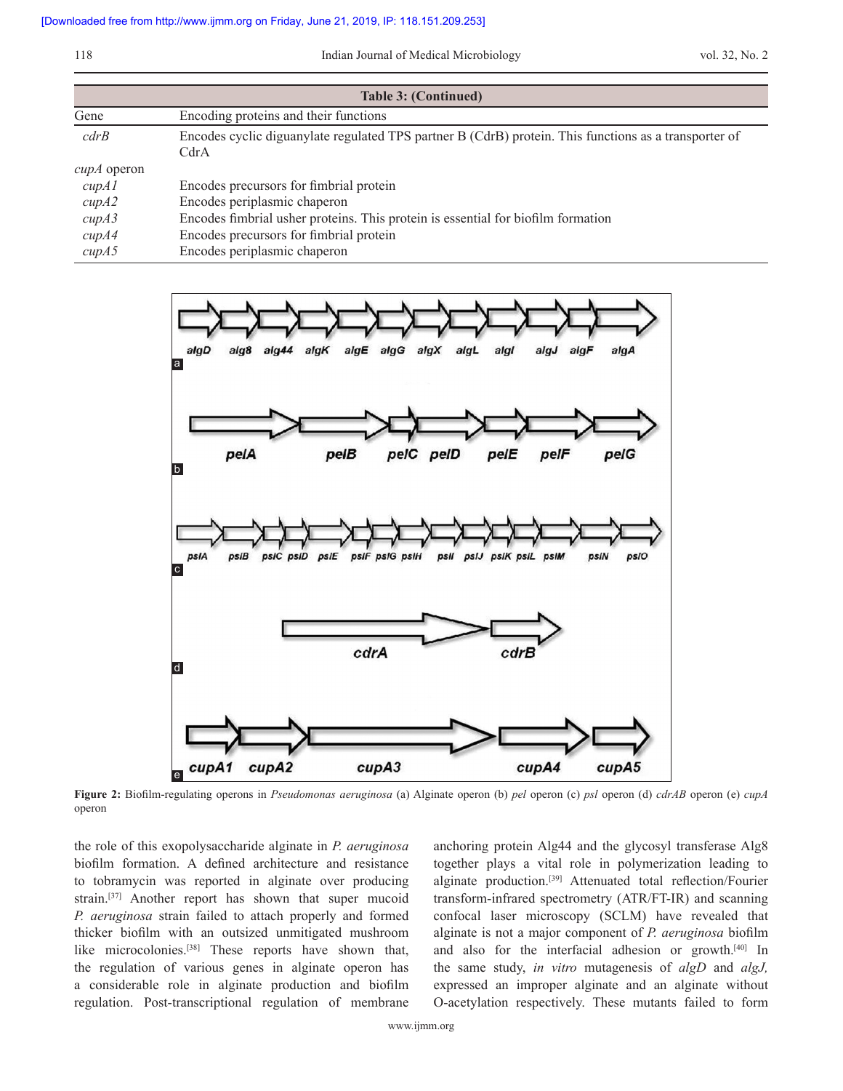| <b>Table 3: (Continued)</b> |                                                                                                               |  |  |  |
|-----------------------------|---------------------------------------------------------------------------------------------------------------|--|--|--|
| Gene                        | Encoding proteins and their functions                                                                         |  |  |  |
| cdrB                        | Encodes cyclic diguanylate regulated TPS partner B (CdrB) protein. This functions as a transporter of<br>CdrA |  |  |  |
| $\alpha$ up $\alpha$ operon |                                                                                                               |  |  |  |
| cupAI                       | Encodes precursors for fimbrial protein                                                                       |  |  |  |
| cupA2                       | Encodes periplasmic chaperon                                                                                  |  |  |  |
| cupA3                       | Encodes fimbrial usher proteins. This protein is essential for biofilm formation                              |  |  |  |
| cupA4                       | Encodes precursors for fimbrial protein                                                                       |  |  |  |
| cupA5                       | Encodes periplasmic chaperon                                                                                  |  |  |  |



**Figure 2:** Biofilm‑regulating operons in *Pseudomonas aeruginosa* (a) Alginate operon (b) *pel* operon (c) *psl* operon (d) *cdrAB* operon (e) *cupA* operon

the role of this exopolysaccharide alginate in *P. aeruginosa* biofilm formation. A defined architecture and resistance to tobramycin was reported in alginate over producing strain.<sup>[37]</sup> Another report has shown that super mucoid *P. aeruginosa* strain failed to attach properly and formed thicker biofilm with an outsized unmitigated mushroom like microcolonies.<sup>[38]</sup> These reports have shown that, the regulation of various genes in alginate operon has a considerable role in alginate production and biofilm regulation. Post-transcriptional regulation of membrane anchoring protein Alg44 and the glycosyl transferase Alg8 together plays a vital role in polymerization leading to alginate production.[39] Attenuated total reflection/Fourier transform‑infrared spectrometry (ATR/FT‑IR) and scanning confocal laser microscopy (SCLM) have revealed that alginate is not a major component of *P. aeruginosa* biofilm and also for the interfacial adhesion or growth.[40] In the same study, *in vitro* mutagenesis of *algD* and *algJ,*  expressed an improper alginate and an alginate without O‑acetylation respectively. These mutants failed to form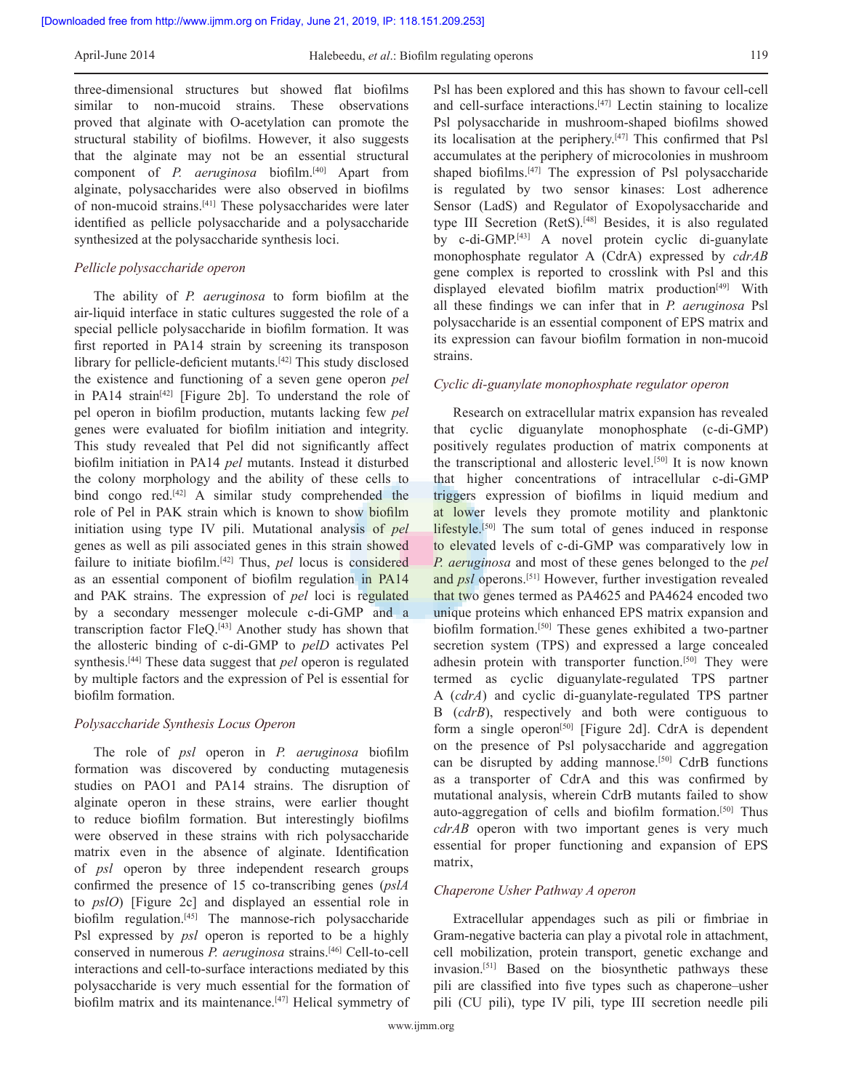three‑dimensional structures but showed flat biofilms similar to non-mucoid strains. These observations proved that alginate with O‑acetylation can promote the structural stability of biofilms. However, it also suggests that the alginate may not be an essential structural component of *P. aeruginosa* biofilm.[40] Apart from alginate, polysaccharides were also observed in biofilms of non‑mucoid strains.[41] These polysaccharides were later identified as pellicle polysaccharide and a polysaccharide synthesized at the polysaccharide synthesis loci.

#### *Pellicle polysaccharide operon*

The ability of *P. aeruginosa* to form biofilm at the air‑liquid interface in static cultures suggested the role of a special pellicle polysaccharide in biofilm formation. It was first reported in PA14 strain by screening its transposon library for pellicle-deficient mutants.<sup>[42]</sup> This study disclosed the existence and functioning of a seven gene operon *pel* in PA14 strain<sup>[42]</sup> [Figure 2b]. To understand the role of pel operon in biofilm production, mutants lacking few *pel*  genes were evaluated for biofilm initiation and integrity. This study revealed that Pel did not significantly affect biofilm initiation in PA14 *pel* mutants. Instead it disturbed the colony morphology and the ability of these cells to bind congo red.<sup>[42]</sup> A similar study comprehended the role of Pel in PAK strain which is known to show biofilm initiation using type IV pili. Mutational analysis of *pel*  genes as well as pili associated genes in this strain showed failure to initiate biofilm.[42] Thus, *pel* locus is considered as an essential component of biofilm regulation in PA14 and PAK strains. The expression of *pel* loci is regulated by a secondary messenger molecule c-di-GMP and a transcription factor FleQ.[43] Another study has shown that the allosteric binding of c‑di‑GMP to *pelD* activates Pel synthesis.[44] These data suggest that *pel* operon is regulated by multiple factors and the expression of Pel is essential for biofilm formation.

#### *Polysaccharide Synthesis Locus Operon*

The role of *psl* operon in *P. aeruginosa* biofilm formation was discovered by conducting mutagenesis studies on PAO1 and PA14 strains. The disruption of alginate operon in these strains, were earlier thought to reduce biofilm formation. But interestingly biofilms were observed in these strains with rich polysaccharide matrix even in the absence of alginate. Identification of *psl* operon by three independent research groups confirmed the presence of 15 co-transcribing genes (*pslA* to *pslO*) [Figure 2c] and displayed an essential role in biofilm regulation.<sup>[45]</sup> The mannose-rich polysaccharide Psl expressed by *psl* operon is reported to be a highly conserved in numerous *P. aeruginosa* strains.<sup>[46]</sup> Cell-to-cell interactions and cell-to-surface interactions mediated by this polysaccharide is very much essential for the formation of biofilm matrix and its maintenance.<sup>[47]</sup> Helical symmetry of Psl has been explored and this has shown to favour cell-cell and cell-surface interactions.<sup>[47]</sup> Lectin staining to localize Psl polysaccharide in mushroom‑shaped biofilms showed its localisation at the periphery.[47] This confirmed that Psl accumulates at the periphery of microcolonies in mushroom shaped biofilms.<sup>[47]</sup> The expression of Psl polysaccharide is regulated by two sensor kinases: Lost adherence Sensor (LadS) and Regulator of Exopolysaccharide and type III Secretion (RetS).[48] Besides, it is also regulated by c‑di‑GMP.[43] A novel protein cyclic di‑guanylate monophosphate regulator A (CdrA) expressed by *cdrAB*  gene complex is reported to crosslink with Psl and this displayed elevated biofilm matrix production<sup>[49]</sup> With all these findings we can infer that in *P. aeruginosa* Psl polysaccharide is an essential component of EPS matrix and its expression can favour biofilm formation in non‑mucoid strains.

#### *Cyclic di-guanylate monophosphate regulator operon*

Research on extracellular matrix expansion has revealed that cyclic diguanylate monophosphate (c‑di‑GMP) positively regulates production of matrix components at the transcriptional and allosteric level.<sup>[50]</sup> It is now known that higher concentrations of intracellular c‑di‑GMP triggers expression of biofilms in liquid medium and at lower levels they promote motility and planktonic lifestyle.[50] The sum total of genes induced in response to elevated levels of c-di-GMP was comparatively low in *P. aeruginosa* and most of these genes belonged to the *pel*  and *psl* operons.[51] However, further investigation revealed that two genes termed as PA4625 and PA4624 encoded two unique proteins which enhanced EPS matrix expansion and biofilm formation.<sup>[50]</sup> These genes exhibited a two-partner secretion system (TPS) and expressed a large concealed adhesin protein with transporter function.<sup>[50]</sup> They were termed as cyclic diguanylate‑regulated TPS partner A (*cdrA*) and cyclic di‑guanylate‑regulated TPS partner B (*cdrB*), respectively and both were contiguous to form a single operon<sup>[50]</sup> [Figure 2d]. CdrA is dependent on the presence of Psl polysaccharide and aggregation can be disrupted by adding mannose.<sup>[50]</sup> CdrB functions as a transporter of CdrA and this was confirmed by mutational analysis, wherein CdrB mutants failed to show auto-aggregation of cells and biofilm formation.<sup>[50]</sup> Thus *cdrAB* operon with two important genes is very much essential for proper functioning and expansion of EPS matrix,

#### *Chaperone Usher Pathway A operon*

Extracellular appendages such as pili or fimbriae in Gram‑negative bacteria can play a pivotal role in attachment, cell mobilization, protein transport, genetic exchange and invasion.[51] Based on the biosynthetic pathways these pili are classified into five types such as chaperone–usher pili (CU pili), type IV pili, type III secretion needle pili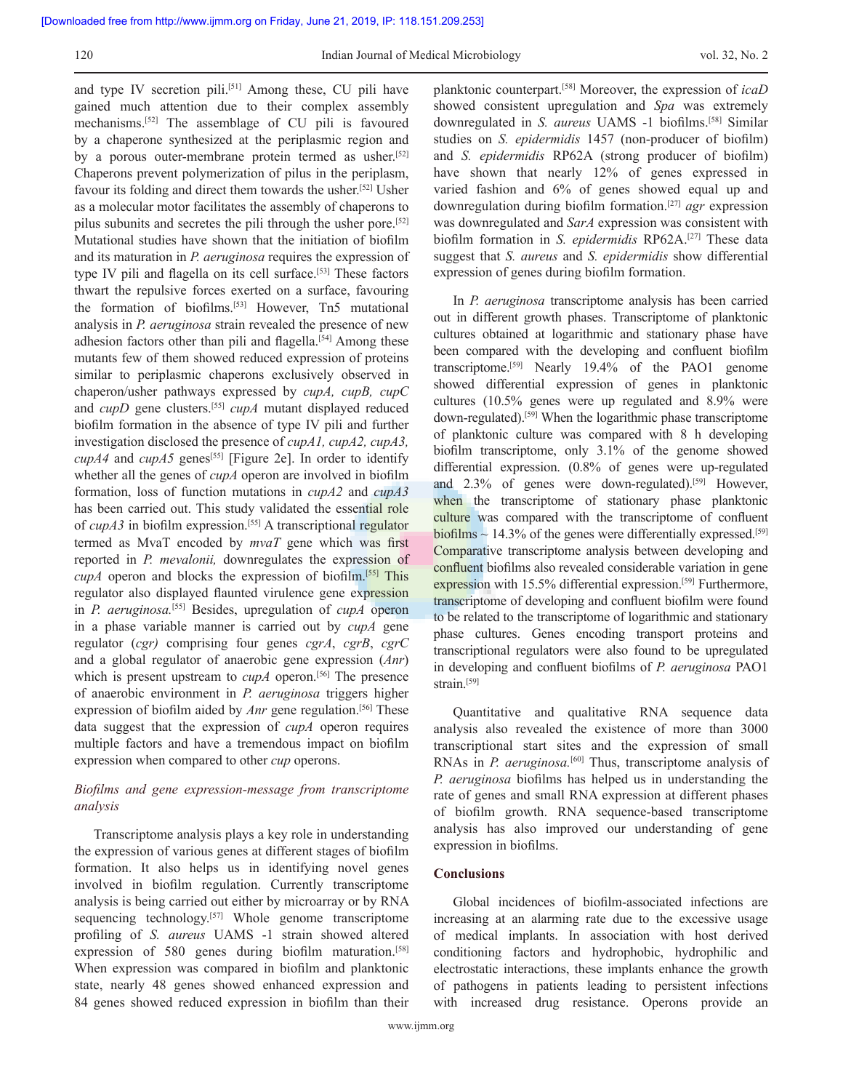and type IV secretion pili.<sup>[51]</sup> Among these, CU pili have gained much attention due to their complex assembly mechanisms.[52] The assemblage of CU pili is favoured by a chaperone synthesized at the periplasmic region and by a porous outer-membrane protein termed as usher.<sup>[52]</sup> Chaperons prevent polymerization of pilus in the periplasm, favour its folding and direct them towards the usher.[52] Usher as a molecular motor facilitates the assembly of chaperons to pilus subunits and secretes the pili through the usher pore.[52] Mutational studies have shown that the initiation of biofilm and its maturation in *P. aeruginosa* requires the expression of type IV pili and flagella on its cell surface.<sup>[53]</sup> These factors thwart the repulsive forces exerted on a surface, favouring the formation of biofilms.<sup>[53]</sup> However, Tn5 mutational analysis in *P. aeruginosa* strain revealed the presence of new adhesion factors other than pili and flagella.<sup>[54]</sup> Among these mutants few of them showed reduced expression of proteins similar to periplasmic chaperons exclusively observed in chaperon/usher pathways expressed by *cupA, cupB, cupC*  and *cupD* gene clusters.<sup>[55]</sup> *cupA* mutant displayed reduced biofilm formation in the absence of type IV pili and further investigation disclosed the presence of *cupA1, cupA2, cupA3, cupA4* and *cupA5* genes<sup>[55]</sup> [Figure 2e]. In order to identify whether all the genes of *cupA* operon are involved in biofilm formation, loss of function mutations in *cupA2* and *cupA3* has been carried out. This study validated the essential role of *cupA3* in biofilm expression.[55] A transcriptional regulator termed as MvaT encoded by *mvaT* gene which was first reported in *P. mevalonii,* downregulates the expression of *cupA* operon and blocks the expression of biofilm.[55] This regulator also displayed flaunted virulence gene expression in *P. aeruginosa.*[55] Besides, upregulation of *cupA* operon in a phase variable manner is carried out by *cupA* gene regulator (*cgr)* comprising four genes *cgrA*, *cgrB*, *cgrC*  and a global regulator of anaerobic gene expression (*Anr*) which is present upstream to *cupA* operon.<sup>[56]</sup> The presence of anaerobic environment in *P. aeruginosa* triggers higher expression of biofilm aided by *Anr* gene regulation.<sup>[56]</sup> These data suggest that the expression of *cupA* operon requires multiple factors and have a tremendous impact on biofilm expression when compared to other *cup* operons.

# *Biofilms and gene expression‑message from transcriptome analysis*

Transcriptome analysis plays a key role in understanding the expression of various genes at different stages of biofilm formation. It also helps us in identifying novel genes involved in biofilm regulation. Currently transcriptome analysis is being carried out either by microarray or by RNA sequencing technology.<sup>[57]</sup> Whole genome transcriptome profiling of *S. aureus* UAMS ‑1 strain showed altered expression of 580 genes during biofilm maturation.<sup>[58]</sup> When expression was compared in biofilm and planktonic state, nearly 48 genes showed enhanced expression and 84 genes showed reduced expression in biofilm than their

planktonic counterpart.[58] Moreover, the expression of *icaD*  showed consistent upregulation and *Spa* was extremely downregulated in *S. aureus* UAMS ‑1 biofilms.[58] Similar studies on *S. epidermidis* 1457 (non‑producer of biofilm) and *S. epidermidis* RP62A (strong producer of biofilm) have shown that nearly 12% of genes expressed in varied fashion and 6% of genes showed equal up and downregulation during biofilm formation.[27] *agr* expression was downregulated and *SarA* expression was consistent with biofilm formation in *S. epidermidis* RP62A.[27] These data suggest that *S. aureus* and *S. epidermidis* show differential expression of genes during biofilm formation.

In *P. aeruginosa* transcriptome analysis has been carried out in different growth phases. Transcriptome of planktonic cultures obtained at logarithmic and stationary phase have been compared with the developing and confluent biofilm transcriptome.[59] Nearly 19.4% of the PAO1 genome showed differential expression of genes in planktonic cultures (10.5% genes were up regulated and 8.9% were down‑regulated).[59] When the logarithmic phase transcriptome of planktonic culture was compared with 8 h developing biofilm transcriptome, only 3.1% of the genome showed differential expression. (0.8% of genes were up-regulated and 2.3% of genes were down-regulated).<sup>[59]</sup> However, when the transcriptome of stationary phase planktonic culture was compared with the transcriptome of confluent biofilms  $\sim$  14.3% of the genes were differentially expressed.<sup>[59]</sup> Comparative transcriptome analysis between developing and confluent biofilms also revealed considerable variation in gene expression with 15.5% differential expression.<sup>[59]</sup> Furthermore, transcriptome of developing and confluent biofilm were found to be related to the transcriptome of logarithmic and stationary phase cultures. Genes encoding transport proteins and transcriptional regulators were also found to be upregulated in developing and confluent biofilms of *P. aeruginosa* PAO1 strain.<sup>[59]</sup>

Quantitative and qualitative RNA sequence data analysis also revealed the existence of more than 3000 transcriptional start sites and the expression of small RNAs in *P. aeruginosa.*[60] Thus, transcriptome analysis of *P. aeruginosa* biofilms has helped us in understanding the rate of genes and small RNA expression at different phases of biofilm growth. RNA sequence‑based transcriptome analysis has also improved our understanding of gene expression in biofilms.

## **Conclusions**

Global incidences of biofilm‑associated infections are increasing at an alarming rate due to the excessive usage of medical implants. In association with host derived conditioning factors and hydrophobic, hydrophilic and electrostatic interactions, these implants enhance the growth of pathogens in patients leading to persistent infections with increased drug resistance. Operons provide an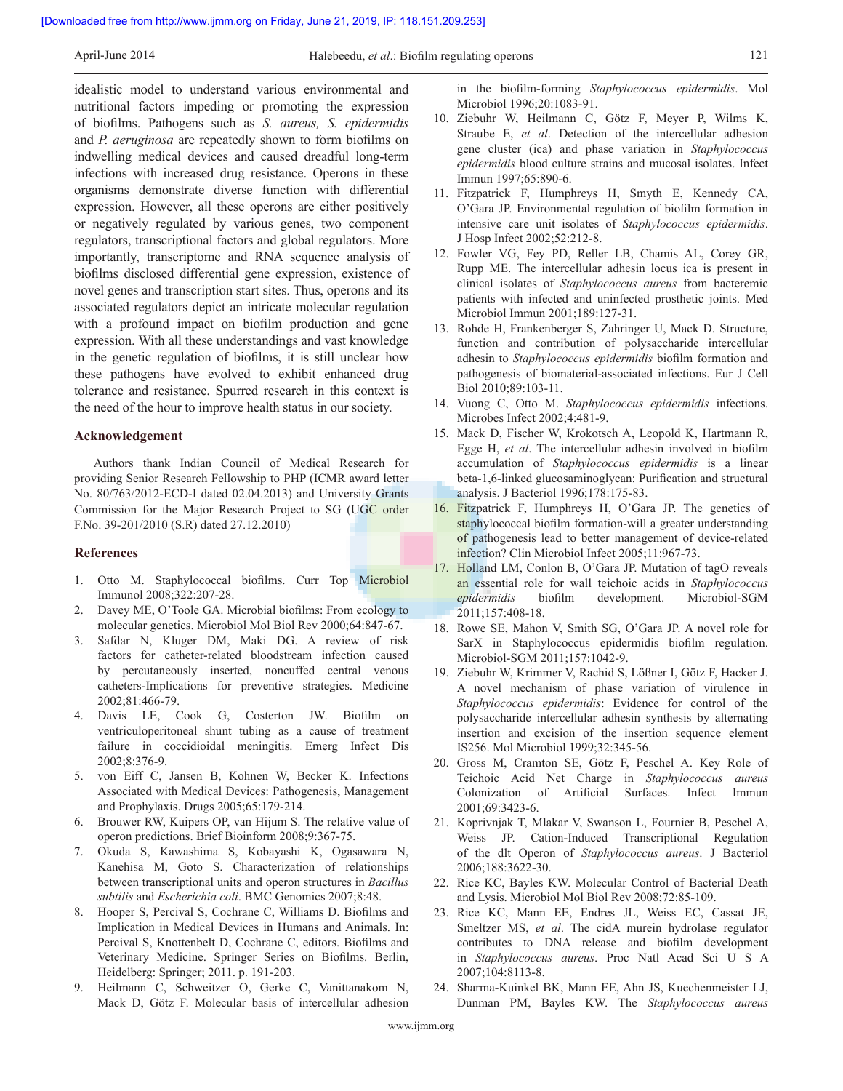idealistic model to understand various environmental and nutritional factors impeding or promoting the expression of biofilms. Pathogens such as *S. aureus, S. epidermidis*  and *P. aeruginosa* are repeatedly shown to form biofilms on indwelling medical devices and caused dreadful long-term infections with increased drug resistance. Operons in these organisms demonstrate diverse function with differential expression. However, all these operons are either positively or negatively regulated by various genes, two component regulators, transcriptional factors and global regulators. More importantly, transcriptome and RNA sequence analysis of biofilms disclosed differential gene expression, existence of novel genes and transcription start sites. Thus, operons and its associated regulators depict an intricate molecular regulation with a profound impact on biofilm production and gene expression. With all these understandings and vast knowledge in the genetic regulation of biofilms, it is still unclear how these pathogens have evolved to exhibit enhanced drug tolerance and resistance. Spurred research in this context is the need of the hour to improve health status in our society.

#### **Acknowledgement**

Authors thank Indian Council of Medical Research for providing Senior Research Fellowship to PHP (ICMR award letter No. 80/763/2012-ECD-I dated 02.04.2013) and University Grants Commission for the Major Research Project to SG (UGC order F.No. 39-201/2010 (S.R) dated 27.12.2010)

#### **References**

- 1. Otto M. Staphylococcal biofilms. Curr Top Microbiol Immunol 2008;322:207‑28.
- 2. Davey ME, O'Toole GA. Microbial biofilms: From ecology to molecular genetics. Microbiol Mol Biol Rev 2000;64:847‑67.
- 3. Safdar N, Kluger DM, Maki DG. A review of risk factors for catheter-related bloodstream infection caused by percutaneously inserted, noncuffed central venous catheters‑Implications for preventive strategies. Medicine 2002;81:466‑79.
- 4. Davis LE, Cook G, Costerton JW. Biofilm on ventriculoperitoneal shunt tubing as a cause of treatment failure in coccidioidal meningitis. Emerg Infect Dis 2002;8:376‑9.
- 5. von Eiff C, Jansen B, Kohnen W, Becker K. Infections Associated with Medical Devices: Pathogenesis, Management and Prophylaxis. Drugs 2005;65:179‑214.
- 6. Brouwer RW, Kuipers OP, van Hijum S. The relative value of operon predictions. Brief Bioinform 2008;9:367‑75.
- 7. Okuda S, Kawashima S, Kobayashi K, Ogasawara N, Kanehisa M, Goto S. Characterization of relationships between transcriptional units and operon structures in *Bacillus subtilis* and *Escherichia coli*. BMC Genomics 2007;8:48.
- 8. Hooper S, Percival S, Cochrane C, Williams D. Biofilms and Implication in Medical Devices in Humans and Animals. In: Percival S, Knottenbelt D, Cochrane C, editors. Biofilms and Veterinary Medicine. Springer Series on Biofilms. Berlin, Heidelberg: Springer; 2011. p. 191-203.
- 9. Heilmann C, Schweitzer O, Gerke C, Vanittanakom N, Mack D, Götz F. Molecular basis of intercellular adhesion

in the biofilm‑forming *Staphylococcus epidermidis*. Mol Microbiol 1996;20:1083-91.

- 10. Ziebuhr W, Heilmann C, Götz F, Meyer P, Wilms K, Straube E, *et al*. Detection of the intercellular adhesion gene cluster (ica) and phase variation in *Staphylococcus epidermidis* blood culture strains and mucosal isolates. Infect Immun 1997;65:890‑6.
- 11. Fitzpatrick F, Humphreys H, Smyth E, Kennedy CA, O'Gara JP. Environmental regulation of biofilm formation in intensive care unit isolates of *Staphylococcus epidermidis*. J Hosp Infect 2002;52:212‑8.
- 12. Fowler VG, Fey PD, Reller LB, Chamis AL, Corey GR, Rupp ME. The intercellular adhesin locus ica is present in clinical isolates of *Staphylococcus aureus* from bacteremic patients with infected and uninfected prosthetic joints. Med Microbiol Immun 2001;189:127‑31.
- 13. Rohde H, Frankenberger S, Zahringer U, Mack D. Structure, function and contribution of polysaccharide intercellular adhesin to *Staphylococcus epidermidis* biofilm formation and pathogenesis of biomaterial‑associated infections. Eur J Cell Biol 2010;89:103‑11.
- 14. Vuong C, Otto M. *Staphylococcus epidermidis* infections. Microbes Infect 2002;4:481‑9.
- 15. Mack D, Fischer W, Krokotsch A, Leopold K, Hartmann R, Egge H, *et al*. The intercellular adhesin involved in biofilm accumulation of *Staphylococcus epidermidis* is a linear beta‑1,6‑linked glucosaminoglycan: Purification and structural analysis. J Bacteriol 1996;178:175‑83.
- 16. Fitzpatrick F, Humphreys H, O'Gara JP. The genetics of staphylococcal biofilm formation-will a greater understanding of pathogenesis lead to better management of device-related infection? Clin Microbiol Infect 2005;11:967-73.
- 17. Holland LM, Conlon B, O'Gara JP. Mutation of tagO reveals an essential role for wall teichoic acids in *Staphylococcus epidermidis* biofilm development. Microbiol‑SGM 2011;157:408‑18.
- 18. Rowe SE, Mahon V, Smith SG, O'Gara JP. A novel role for SarX in Staphylococcus epidermidis biofilm regulation. Microbiol-SGM 2011;157:1042-9.
- 19. Ziebuhr W, Krimmer V, Rachid S, Lößner I, Götz F, Hacker J. A novel mechanism of phase variation of virulence in *Staphylococcus epidermidis*: Evidence for control of the polysaccharide intercellular adhesin synthesis by alternating insertion and excision of the insertion sequence element IS256. Mol Microbiol 1999;32:345‑56.
- 20. Gross M, Cramton SE, Götz F, Peschel A. Key Role of Teichoic Acid Net Charge in *Staphylococcus aureus*  Colonization of Artificial Surfaces. Infect Immun 2001;69:3423‑6.
- 21. Koprivnjak T, Mlakar V, Swanson L, Fournier B, Peschel A, Weiss JP. Cation-Induced Transcriptional Regulation of the dlt Operon of *Staphylococcus aureus*. J Bacteriol 2006;188:3622‑30.
- 22. Rice KC, Bayles KW. Molecular Control of Bacterial Death and Lysis. Microbiol Mol Biol Rev 2008;72:85‑109.
- 23. Rice KC, Mann EE, Endres JL, Weiss EC, Cassat JE, Smeltzer MS, *et al*. The cidA murein hydrolase regulator contributes to DNA release and biofilm development in *Staphylococcus aureus*. Proc Natl Acad Sci U S A 2007;104:8113‑8.
- 24. Sharma‑Kuinkel BK, Mann EE, Ahn JS, Kuechenmeister LJ, Dunman PM, Bayles KW. The *Staphylococcus aureus*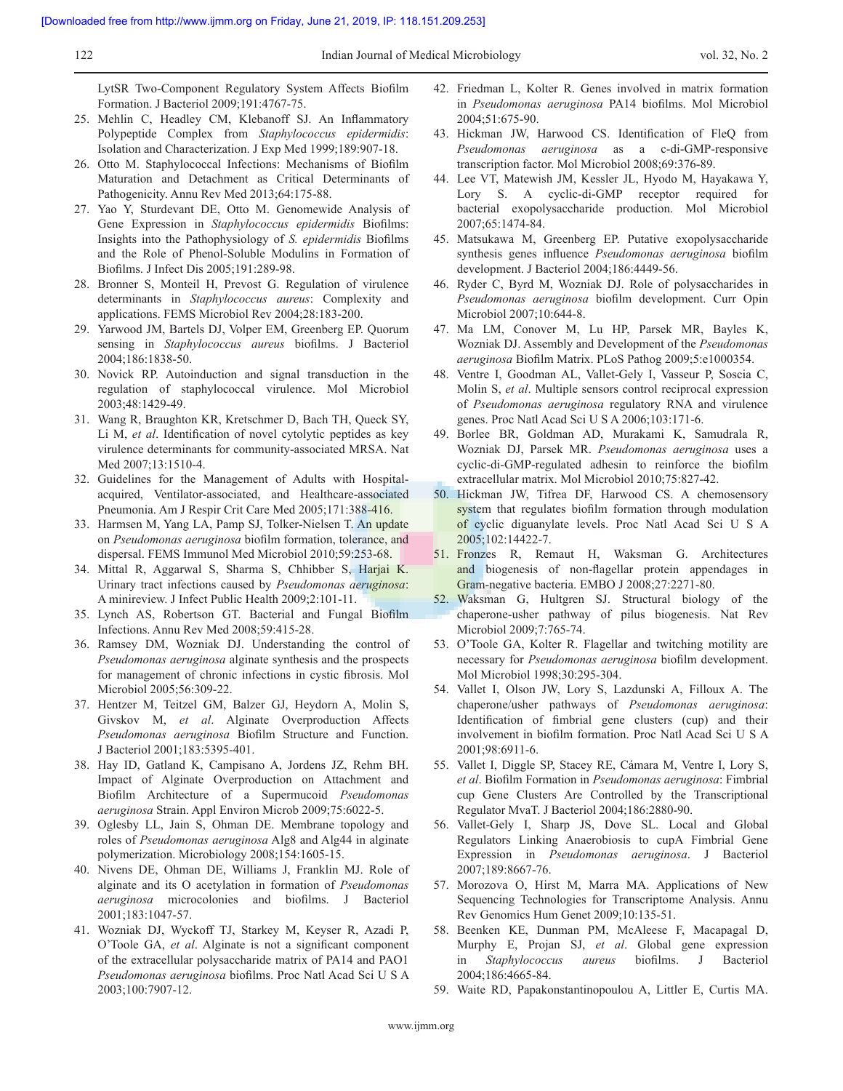LytSR Two‑Component Regulatory System Affects Biofilm Formation. J Bacteriol 2009;191:4767‑75.

- 25. Mehlin C, Headley CM, Klebanoff SJ. An Inflammatory Polypeptide Complex from *Staphylococcus epidermidis*: Isolation and Characterization. J Exp Med 1999;189:907‑18.
- 26. Otto M. Staphylococcal Infections: Mechanisms of Biofilm Maturation and Detachment as Critical Determinants of Pathogenicity. Annu Rev Med 2013;64:175-88.
- 27. Yao Y, Sturdevant DE, Otto M. Genomewide Analysis of Gene Expression in *Staphylococcus epidermidis* Biofilms: Insights into the Pathophysiology of *S. epidermidis* Biofilms and the Role of Phenol‑Soluble Modulins in Formation of Biofilms. J Infect Dis 2005;191:289‑98.
- 28. Bronner S, Monteil H, Prevost G. Regulation of virulence determinants in *Staphylococcus aureus*: Complexity and applications. FEMS Microbiol Rev 2004;28:183‑200.
- 29. Yarwood JM, Bartels DJ, Volper EM, Greenberg EP. Quorum sensing in *Staphylococcus aureus* biofilms. J Bacteriol 2004;186:1838‑50.
- 30. Novick RP. Autoinduction and signal transduction in the regulation of staphylococcal virulence. Mol Microbiol 2003;48:1429‑49.
- 31. Wang R, Braughton KR, Kretschmer D, Bach TH, Queck SY, Li M, *et al*. Identification of novel cytolytic peptides as key virulence determinants for community‑associated MRSA. Nat Med 2007;13:1510-4.
- 32. Guidelines for the Management of Adults with Hospitalacquired, Ventilator‑associated, and Healthcare‑associated Pneumonia. Am J Respir Crit Care Med 2005;171:388-416.
- 33. Harmsen M, Yang LA, Pamp SJ, Tolker‑Nielsen T. An update on *Pseudomonas aeruginosa* biofilm formation, tolerance, and dispersal. FEMS Immunol Med Microbiol 2010;59:253‑68.
- 34. Mittal R, Aggarwal S, Sharma S, Chhibber S, Harjai K. Urinary tract infections caused by *Pseudomonas aeruginosa*: A minireview. J Infect Public Health 2009;2:101-11.
- 35. Lynch AS, Robertson GT. Bacterial and Fungal Biofilm Infections. Annu Rev Med 2008;59:415‑28.
- 36. Ramsey DM, Wozniak DJ. Understanding the control of *Pseudomonas aeruginosa* alginate synthesis and the prospects for management of chronic infections in cystic fibrosis. Mol Microbiol 2005;56:309-22.
- 37. Hentzer M, Teitzel GM, Balzer GJ, Heydorn A, Molin S, Givskov M, *et al*. Alginate Overproduction Affects *Pseudomonas aeruginosa* Biofilm Structure and Function. J Bacteriol 2001;183:5395‑401.
- 38. Hay ID, Gatland K, Campisano A, Jordens JZ, Rehm BH. Impact of Alginate Overproduction on Attachment and Biofilm Architecture of a Supermucoid *Pseudomonas aeruginosa* Strain. Appl Environ Microb 2009;75:6022‑5.
- 39. Oglesby LL, Jain S, Ohman DE. Membrane topology and roles of *Pseudomonas aeruginosa* Alg8 and Alg44 in alginate polymerization. Microbiology 2008;154:1605‑15.
- 40. Nivens DE, Ohman DE, Williams J, Franklin MJ. Role of alginate and its O acetylation in formation of *Pseudomonas aeruginosa* microcolonies and biofilms. J Bacteriol 2001;183:1047‑57.
- 41. Wozniak DJ, Wyckoff TJ, Starkey M, Keyser R, Azadi P, O'Toole GA, *et al*. Alginate is not a significant component of the extracellular polysaccharide matrix of PA14 and PAO1 *Pseudomonas aeruginosa* biofilms. Proc Natl Acad Sci U S A 2003;100:7907‑12.
- 42. Friedman L, Kolter R. Genes involved in matrix formation in *Pseudomonas aeruginosa* PA14 biofilms. Mol Microbiol 2004;51:675‑90.
- 43. Hickman JW, Harwood CS. Identification of FleQ from *Pseudomonas aeruginosa* as a c‑di‑GMP‑responsive transcription factor. Mol Microbiol 2008;69:376‑89.
- 44. Lee VT, Matewish JM, Kessler JL, Hyodo M, Hayakawa Y, Lory S. A cyclic-di-GMP receptor required for bacterial exopolysaccharide production. Mol Microbiol 2007;65:1474‑84.
- 45. Matsukawa M, Greenberg EP. Putative exopolysaccharide synthesis genes influence *Pseudomonas aeruginosa* biofilm development. J Bacteriol 2004;186:4449‑56.
- 46. Ryder C, Byrd M, Wozniak DJ. Role of polysaccharides in *Pseudomonas aeruginosa* biofilm development. Curr Opin Microbiol 2007;10:644‑8.
- 47. Ma LM, Conover M, Lu HP, Parsek MR, Bayles K, Wozniak DJ. Assembly and Development of the *Pseudomonas aeruginosa* Biofilm Matrix. PLoS Pathog 2009;5:e1000354.
- 48. Ventre I, Goodman AL, Vallet-Gely I, Vasseur P, Soscia C, Molin S, *et al*. Multiple sensors control reciprocal expression of *Pseudomonas aeruginosa* regulatory RNA and virulence genes. Proc Natl Acad Sci U S A 2006;103:171‑6.
- 49. Borlee BR, Goldman AD, Murakami K, Samudrala R, Wozniak DJ, Parsek MR. *Pseudomonas aeruginosa* uses a cyclic‑di‑GMP‑regulated adhesin to reinforce the biofilm extracellular matrix. Mol Microbiol 2010;75:827‑42.
- 50. Hickman JW, Tifrea DF, Harwood CS. A chemosensory system that regulates biofilm formation through modulation of cyclic diguanylate levels. Proc Natl Acad Sci U S A 2005;102:14422‑7.
- 51. Fronzes R, Remaut H, Waksman G. Architectures and biogenesis of non-flagellar protein appendages in Gram-negative bacteria. EMBO J 2008;27:2271-80.
- 52. Waksman G, Hultgren SJ. Structural biology of the chaperone‑usher pathway of pilus biogenesis. Nat Rev Microbiol 2009;7:765‑74.
- 53. O'Toole GA, Kolter R. Flagellar and twitching motility are necessary for *Pseudomonas aeruginosa* biofilm development. Mol Microbiol 1998;30:295‑304.
- 54. Vallet I, Olson JW, Lory S, Lazdunski A, Filloux A. The chaperone/usher pathways of *Pseudomonas aeruginosa*: Identification of fimbrial gene clusters (cup) and their involvement in biofilm formation. Proc Natl Acad Sci U S A 2001;98:6911‑6.
- 55. Vallet I, Diggle SP, Stacey RE, Cámara M, Ventre I, Lory S, *et al*. Biofilm Formation in *Pseudomonas aeruginosa*: Fimbrial cup Gene Clusters Are Controlled by the Transcriptional Regulator MvaT. J Bacteriol 2004;186:2880‑90.
- 56. Vallet-Gely I, Sharp JS, Dove SL. Local and Global Regulators Linking Anaerobiosis to cupA Fimbrial Gene Expression in *Pseudomonas aeruginosa*. J Bacteriol 2007;189:8667‑76.
- 57. Morozova O, Hirst M, Marra MA. Applications of New Sequencing Technologies for Transcriptome Analysis. Annu Rev Genomics Hum Genet 2009;10:135‑51.
- 58. Beenken KE, Dunman PM, McAleese F, Macapagal D, Murphy E, Projan SJ, *et al*. Global gene expression in *Staphylococcus aureus* biofilms. J Bacteriol 2004;186:4665‑84.
- 59. Waite RD, Papakonstantinopoulou A, Littler E, Curtis MA.